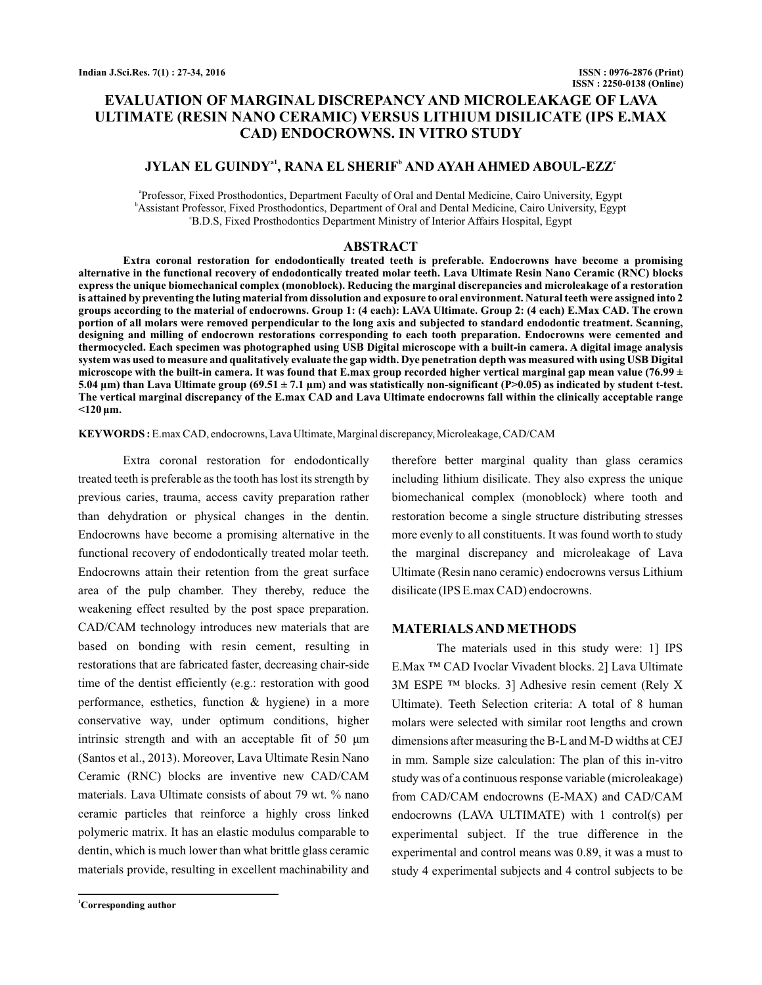# **EVALUATION OF MARGINAL DISCREPANCY AND MICROLEAKAGE OF LAVA ULTIMATE (RESIN NANO CERAMIC) VERSUS LITHIUM DISILICATE (IPS E.MAX CAD) ENDOCROWNS. IN VITRO STUDY**

# **JYLAN EL GUINDY<sup>a1</sup>, RANA EL SHERIF<sup>b</sup> AND AYAH AHMED ABOUL-EZZ<sup>c</sup>**

a Professor, Fixed Prosthodontics, Department Faculty of Oral and Dental Medicine, Cairo University, Egypt b Assistant Professor, Fixed Prosthodontics, Department of Oral and Dental Medicine, Cairo University, Egypt <sup>e</sup>B.D.S, Fixed Prosthodontics Department Ministry of Interior Affairs Hospital, Egypt

#### **ABSTRACT**

**Extra coronal restoration for endodontically treated teeth is preferable. Endocrowns have become a promising alternative in the functional recovery of endodontically treated molar teeth. Lava Ultimate Resin Nano Ceramic (RNC) blocks express the unique biomechanical complex (monoblock). Reducing the marginal discrepancies and microleakage of a restoration is attained by preventing the luting material from dissolution and exposure to oral environment. Natural teeth were assigned into 2 groups according to the material of endocrowns. Group 1: (4 each): LAVA Ultimate. Group 2: (4 each) E.Max CAD. The crown portion of all molars were removed perpendicular to the long axis and subjected to standard endodontic treatment. Scanning, designing and milling of endocrown restorations corresponding to each tooth preparation. Endocrowns were cemented and thermocycled. Each specimen was photographed using USB Digital microscope with a built-in camera. A digital image analysis system was used to measure and qualitatively evaluate the gap width. Dye penetration depth was measured with using USB Digital** microscope with the built-in camera. It was found that E.max group recorded higher vertical marginal gap mean value (76.99 ± 5.04 µm) than Lava Ultimate group (69.51 ± 7.1 µm) and was statistically non-significant (P>0.05) as indicated by student t-test. **The vertical marginal discrepancy of the E.max CAD and Lava Ultimate endocrowns fall within the clinically acceptable range <120 μm.**

KEYWORDS: E.max CAD, endocrowns, Lava Ultimate, Marginal discrepancy, Microleakage, CAD/CAM

Extra coronal restoration for endodontically treated teeth is preferable as the tooth has lost its strength by previous caries, trauma, access cavity preparation rather than dehydration or physical changes in the dentin. Endocrowns have become a promising alternative in the functional recovery of endodontically treated molar teeth. Endocrowns attain their retention from the great surface area of the pulp chamber. They thereby, reduce the weakening effect resulted by the post space preparation. CAD/CAM technology introduces new materials that are based on bonding with resin cement, resulting in restorations that are fabricated faster, decreasing chair-side time of the dentist efficiently (e.g.: restoration with good performance, esthetics, function & hygiene) in a more conservative way, under optimum conditions, higher intrinsic strength and with an acceptable fit of 50 μm (Santos et al., 2013). Moreover, Lava Ultimate Resin Nano Ceramic (RNC) blocks are inventive new CAD/CAM materials. Lava Ultimate consists of about 79 wt. % nano ceramic particles that reinforce a highly cross linked polymeric matrix. It has an elastic modulus comparable to dentin, which is much lower than what brittle glass ceramic materials provide, resulting in excellent machinability and

**<sup>1</sup>Corresponding author**

therefore better marginal quality than glass ceramics including lithium disilicate. They also express the unique biomechanical complex (monoblock) where tooth and restoration become a single structure distributing stresses more evenly to all constituents. It was found worth to study the marginal discrepancy and microleakage of Lava Ultimate (Resin nano ceramic) endocrowns versus Lithium disilicate (IPS E.max CAD) endocrowns.

## **MATERIALSANDMETHODS**

The materials used in this study were: 1] IPS E.Max ™ CAD Ivoclar Vivadent blocks. 2] Lava Ultimate 3M ESPE ™ blocks. 3] Adhesive resin cement (Rely X Ultimate). Teeth Selection criteria: A total of 8 human molars were selected with similar root lengths and crown dimensions after measuring the B-L and M-D widths at CEJ in mm. Sample size calculation: The plan of this in-vitro study was of a continuous response variable (microleakage) from CAD/CAM endocrowns (E-MAX) and CAD/CAM endocrowns (LAVA ULTIMATE) with 1 control(s) per experimental subject. If the true difference in the experimental and control means was 0.89, it was a must to study 4 experimental subjects and 4 control subjects to be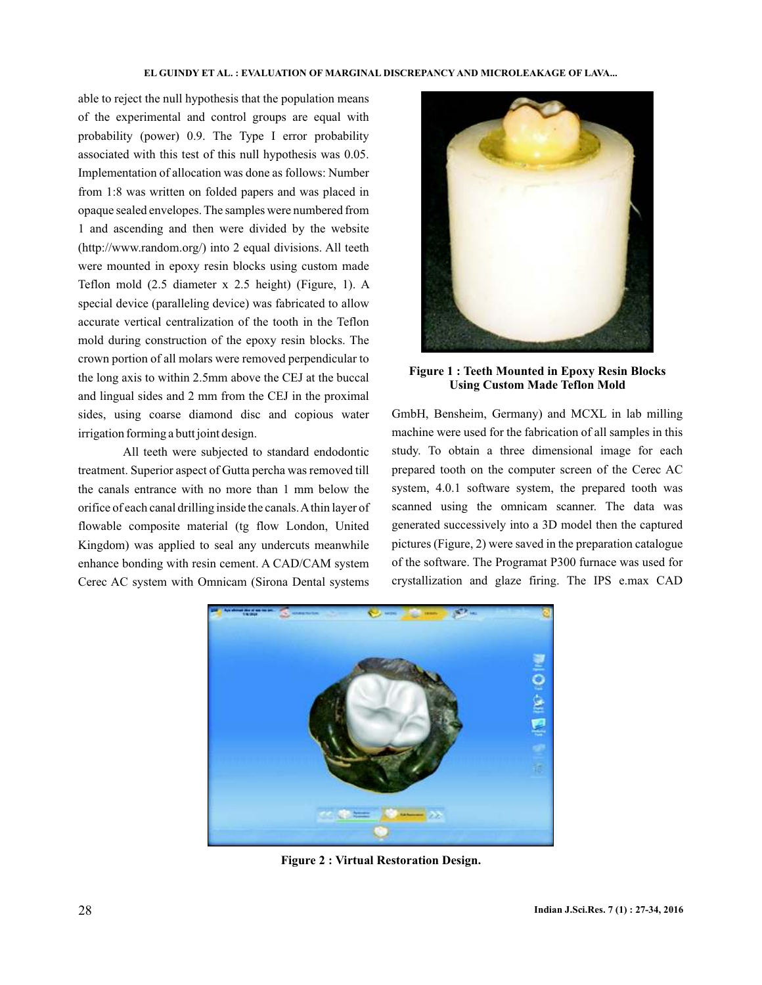able to reject the null hypothesis that the population means of the experimental and control groups are equal with probability (power) 0.9. The Type I error probability associated with this test of this null hypothesis was 0.05. Implementation of allocation was done as follows: Number from 1:8 was written on folded papers and was placed in opaque sealed envelopes. The samples were numbered from 1 and ascending and then were divided by the website (http://www.random.org/) into 2 equal divisions. All teeth were mounted in epoxy resin blocks using custom made Teflon mold (2.5 diameter x 2.5 height) (Figure, 1). A special device (paralleling device) was fabricated to allow accurate vertical centralization of the tooth in the Teflon mold during construction of the epoxy resin blocks. The crown portion of all molars were removed perpendicular to the long axis to within 2.5mm above the CEJ at the buccal and lingual sides and 2 mm from the CEJ in the proximal sides, using coarse diamond disc and copious water irrigation forming a butt joint design.

All teeth were subjected to standard endodontic treatment. Superior aspect of Gutta percha was removed till the canals entrance with no more than 1 mm below the orifice of each canal drilling inside the canals.Athin layer of flowable composite material (tg flow London, United Kingdom) was applied to seal any undercuts meanwhile enhance bonding with resin cement. A CAD/CAM system Cerec AC system with Omnicam (Sirona Dental systems



**Figure 1 : Teeth Mounted in Epoxy Resin Blocks Using Custom Made Teflon Mold**

GmbH, Bensheim, Germany) and MCXL in lab milling machine were used for the fabrication of all samples in this study. To obtain a three dimensional image for each prepared tooth on the computer screen of the Cerec AC system, 4.0.1 software system, the prepared tooth was scanned using the omnicam scanner. The data was generated successively into a 3D model then the captured pictures (Figure, 2) were saved in the preparation catalogue of the software. The Programat P300 furnace was used for crystallization and glaze firing. The IPS e.max CAD



**Figure 2 : Virtual Restoration Design.**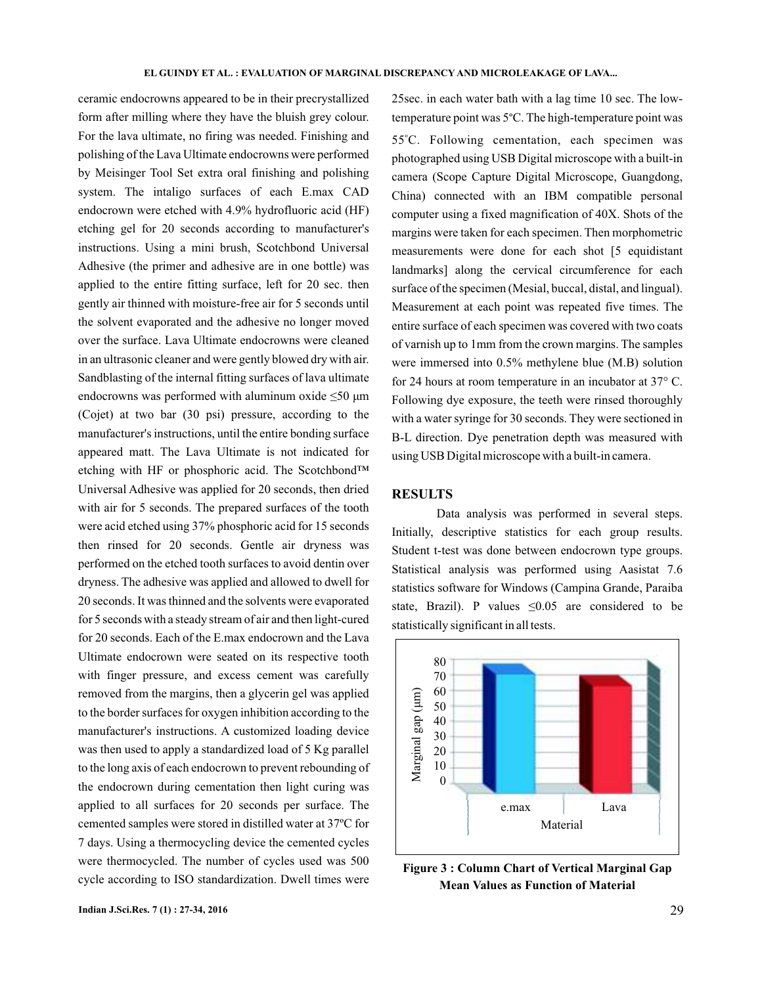ceramic endocrowns appeared to be in their precrystallized form after milling where they have the bluish grey colour. For the lava ultimate, no firing was needed. Finishing and polishing of the Lava Ultimate endocrowns were performed by Meisinger Tool Set extra oral finishing and polishing system. The intaligo surfaces of each E.max CAD endocrown were etched with 4.9% hydrofluoric acid (HF) etching gel for 20 seconds according to manufacturer's instructions. Using a mini brush, Scotchbond Universal Adhesive (the primer and adhesive are in one bottle) was applied to the entire fitting surface, left for 20 sec. then gently air thinned with moisture-free air for 5 seconds until the solvent evaporated and the adhesive no longer moved over the surface. Lava Ultimate endocrowns were cleaned in an ultrasonic cleaner and were gently blowed dry with air. Sandblasting of the internal fitting surfaces of lava ultimate endocrowns was performed with aluminum oxide  $\leq 50 \mu m$ (Cojet) at two bar (30 psi) pressure, according to the manufacturer's instructions, until the entire bonding surface appeared matt. The Lava Ultimate is not indicated for etching with HF or phosphoric acid. The Scotchbond™ Universal Adhesive was applied for 20 seconds, then dried with air for 5 seconds. The prepared surfaces of the tooth were acid etched using 37% phosphoric acid for 15 seconds then rinsed for 20 seconds. Gentle air dryness was performed on the etched tooth surfaces to avoid dentin over dryness. The adhesive was applied and allowed to dwell for 20 seconds. It was thinned and the solvents were evaporated for 5 seconds with a steady stream of air and then light-cured for 20 seconds. Each of the E.max endocrown and the Lava Ultimate endocrown were seated on its respective tooth with finger pressure, and excess cement was carefully removed from the margins, then a glycerin gel was applied to the border surfaces for oxygen inhibition according to the manufacturer's instructions. A customized loading device was then used to apply a standardized load of 5 Kg parallel to the long axis of each endocrown to prevent rebounding of the endocrown during cementation then light curing was applied to all surfaces for 20 seconds per surface. The cemented samples were stored in distilled water at 37ºC for 7 days. Using a thermocycling device the cemented cycles were thermocycled. The number of cycles used was 500 cycle according to ISO standardization. Dwell times were 25sec. in each water bath with a lag time 10 sec. The lowtemperature point was 5°C. The high-temperature point was 55°C. Following cementation, each specimen was photographed using USB Digital microscope with a built-in camera (Scope Capture Digital Microscope, Guangdong, China) connected with an IBM compatible personal computer using a fixed magnification of 40X. Shots of the margins were taken for each specimen. Then morphometric measurements were done for each shot [5 equidistant landmarks] along the cervical circumference for each surface of the specimen (Mesial, buccal, distal, and lingual). Measurement at each point was repeated five times. The entire surface of each specimen was covered with two coats of varnish up to 1mm from the crown margins. The samples were immersed into 0.5% methylene blue (M.B) solution for 24 hours at room temperature in an incubator at 37° C. Following dye exposure, the teeth were rinsed thoroughly with a water syringe for 30 seconds. They were sectioned in B-L direction. Dye penetration depth was measured with using USB Digital microscope with a built-in camera.

# **RESULTS**

Data analysis was performed in several steps. Initially, descriptive statistics for each group results. Student t-test was done between endocrown type groups. Statistical analysis was performed using Aasistat 7.6 statistics software for Windows (Campina Grande, Paraiba state, Brazil). P values  $\leq 0.05$  are considered to be statistically significant in all tests.



**Figure 3 : Column Chart of Vertical Marginal Gap Mean Values as Function of Material**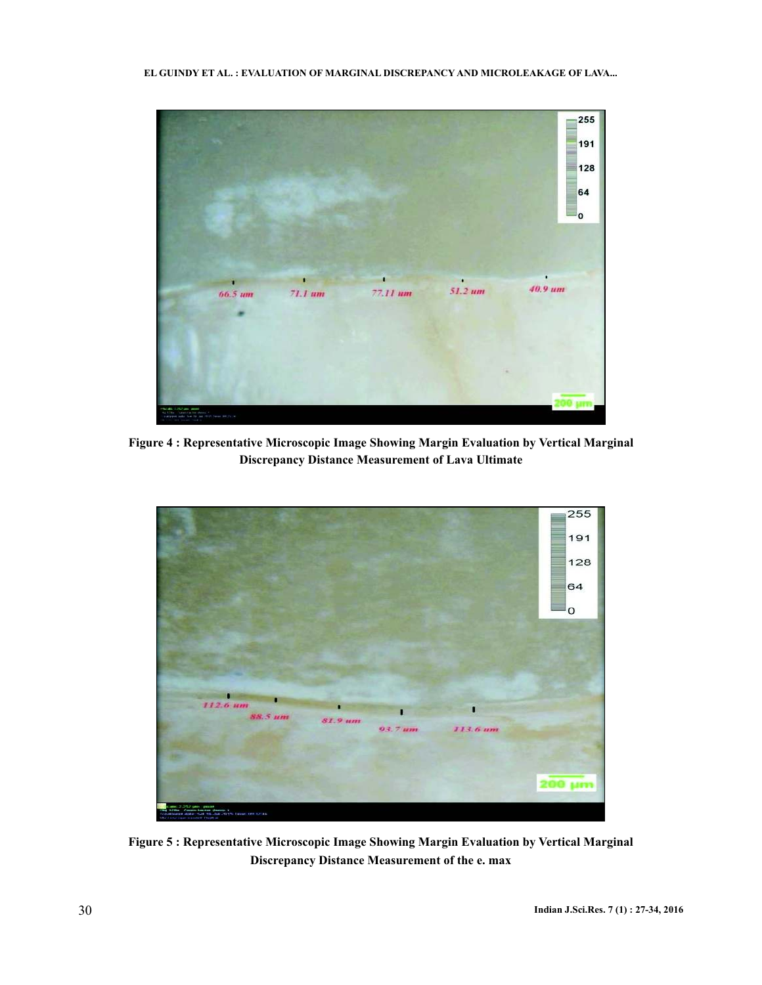**EL GUINDY ET AL. : EVALUATION OF MARGINAL DISCREPANCY AND MICROLEAKAGE OF LAVA...**



**Figure 4 : Representative Microscopic Image Showing Margin Evaluation by Vertical Marginal Discrepancy Distance Measurement of Lava Ultimate**



**Figure 5 : Representative Microscopic Image Showing Margin Evaluation by Vertical Marginal Discrepancy Distance Measurement of the e. max**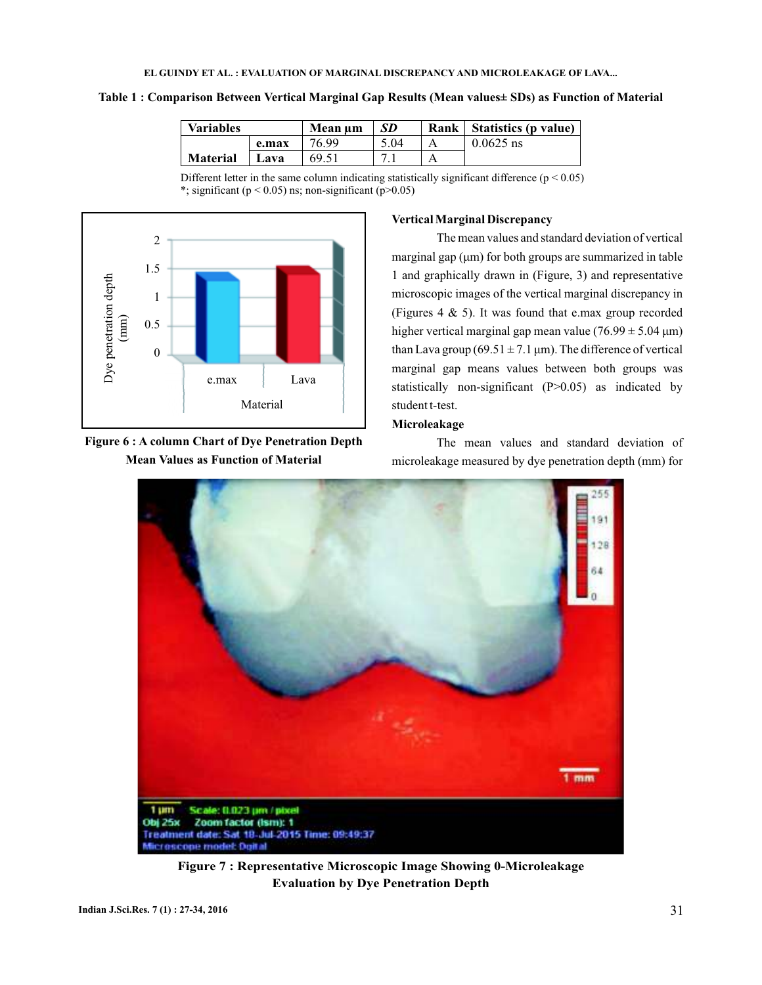| Table 1 : Comparison Between Vertical Marginal Gap Results (Mean values± SDs) as Function of Material |  |  |  |  |
|-------------------------------------------------------------------------------------------------------|--|--|--|--|
|-------------------------------------------------------------------------------------------------------|--|--|--|--|

| <b>Variables</b> |       | Mean um | SD   | Rank | Statistics (p value) |
|------------------|-------|---------|------|------|----------------------|
|                  | e.max | 76.99   | 5.04 |      | $0.0625$ ns          |
| <b>Material</b>  | Lava  | 69.51   |      |      |                      |

Different letter in the same column indicating statistically significant difference  $(p < 0.05)$ \*; significant ( $p < 0.05$ ) ns; non-significant ( $p > 0.05$ )



**Figure 6 : A column Chart of Dye Penetration Depth Mean Values as Function of Material**

### **VerticalMarginal Discrepancy**

1 and graphically drawn in (Figure, 3) and representative (Figures 4  $\&$  5). It was found that e.max group recorded than Lava group (69.51  $\pm$  7.1 µm). The difference of vertical The mean values and standard deviation of vertical marginal gap (μm) for both groups are summarized in table microscopic images of the vertical marginal discrepancy in higher vertical marginal gap mean value  $(76.99 \pm 5.04 \text{ }\mu\text{m})$ marginal gap means values between both groups was statistically non-significant (P>0.05) as indicated by student t-test.

# **Microleakage**

The mean values and standard deviation of microleakage measured by dye penetration depth (mm) for



**Figure 7 : Representative Microscopic Image Showing 0-Microleakage Evaluation by Dye Penetration Depth**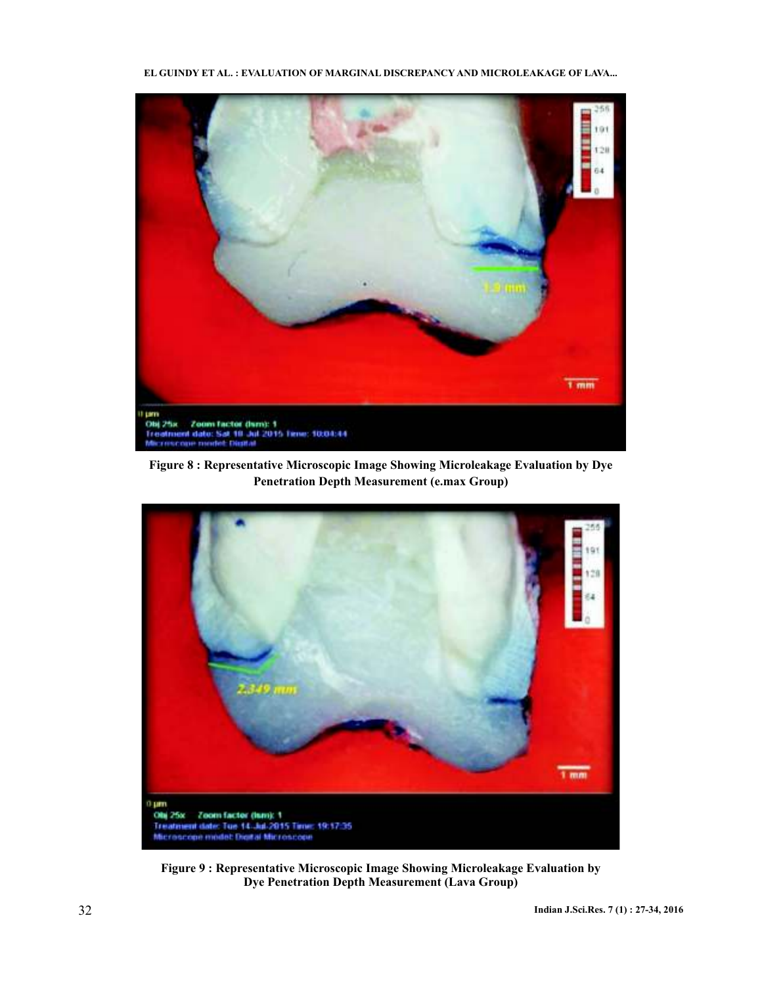**EL GUINDY ET AL. : EVALUATION OF MARGINAL DISCREPANCY AND MICROLEAKAGE OF LAVA...**



**Figure 8 : Representative Microscopic Image Showing Microleakage Evaluation by Dye Penetration Depth Measurement (e.max Group)**



**Figure 9 : Representative Microscopic Image Showing Microleakage Evaluation by Dye Penetration Depth Measurement (Lava Group)**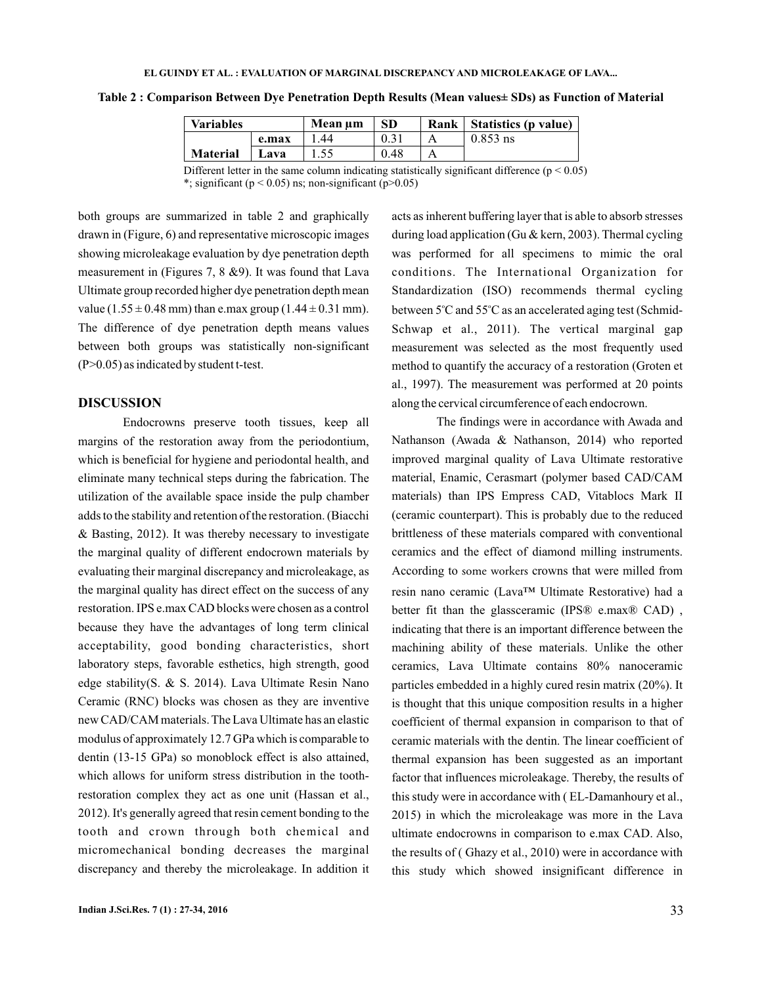| Variables       |       | Mean um | SD   | Rank   Statistics (p value) |
|-----------------|-------|---------|------|-----------------------------|
|                 | e.max | .44     |      | $0.853$ ns                  |
| <b>Material</b> | Lava  |         | 0.48 |                             |

**Table 2 : Comparison Between Dye Penetration Depth Results (Mean values± SDs) as Function of Material**

Different letter in the same column indicating statistically significant difference ( $p < 0.05$ ) \*; significant ( $p < 0.05$ ) ns; non-significant ( $p > 0.05$ )

both groups are summarized in table 2 and graphically drawn in (Figure, 6) and representative microscopic images showing microleakage evaluation by dye penetration depth measurement in (Figures 7, 8 &9). It was found that Lava Ultimate group recorded higher dye penetration depth mean value  $(1.55 \pm 0.48 \text{ mm})$  than e.max group  $(1.44 \pm 0.31 \text{ mm})$ . The difference of dye penetration depth means values between both groups was statistically non-significant (P>0.05) as indicated by student t-test.

## **DISCUSSION**

Endocrowns preserve tooth tissues, keep all margins of the restoration away from the periodontium, which is beneficial for hygiene and periodontal health, and eliminate many technical steps during the fabrication. The utilization of the available space inside the pulp chamber adds to the stability and retention of the restoration. (Biacchi & Basting, 2012). It was thereby necessary to investigate the marginal quality of different endocrown materials by evaluating their marginal discrepancy and microleakage, as the marginal quality has direct effect on the success of any restoration. IPS e.max CAD blocks were chosen as a control because they have the advantages of long term clinical acceptability, good bonding characteristics, short laboratory steps, favorable esthetics, high strength, good edge stability(S. & S. 2014). Lava Ultimate Resin Nano Ceramic (RNC) blocks was chosen as they are inventive new CAD/CAM materials. The Lava Ultimate has an elastic modulus of approximately 12.7 GPa which is comparable to dentin (13-15 GPa) so monoblock effect is also attained, which allows for uniform stress distribution in the toothrestoration complex they act as one unit (Hassan et al., 2012). It's generally agreed that resin cement bonding to the tooth and crown through both chemical and micromechanical bonding decreases the marginal discrepancy and thereby the microleakage. In addition it

**Indian J.Sci.Res.** 7 (1) : 27-34, 2016 33

acts as inherent buffering layer that is able to absorb stresses during load application (Gu & kern, 2003). Thermal cycling was performed for all specimens to mimic the oral conditions. The International Organization for Standardization (ISO) recommends thermal cycling between 5°C and 55°C as an accelerated aging test (Schmid-Schwap et al., 2011). The vertical marginal gap measurement was selected as the most frequently used method to quantify the accuracy of a restoration (Groten et al., 1997). The measurement was performed at 20 points along the cervical circumference of each endocrown.

The findings were in accordance with Awada and Nathanson (Awada & Nathanson, 2014) who reported improved marginal quality of Lava Ultimate restorative material, Enamic, Cerasmart (polymer based CAD/CAM materials) than IPS Empress CAD, Vitablocs Mark II (ceramic counterpart). This is probably due to the reduced brittleness of these materials compared with conventional ceramics and the effect of diamond milling instruments. According to some workers crowns that were milled from resin nano ceramic (Lava™ Ultimate Restorative) had a better fit than the glassceramic (IPS® e.max® CAD), indicating that there is an important difference between the machining ability of these materials. Unlike the other ceramics, Lava Ultimate contains 80% nanoceramic particles embedded in a highly cured resin matrix (20%). It is thought that this unique composition results in a higher coefficient of thermal expansion in comparison to that of ceramic materials with the dentin. The linear coefficient of thermal expansion has been suggested as an important factor that influences microleakage. Thereby, the results of this study were in accordance with ( EL-Damanhoury et al., 2015) in which the microleakage was more in the Lava ultimate endocrowns in comparison to e.max CAD. Also, the results of (Ghazy et al., 2010) were in accordance with this study which showed insignificant difference in